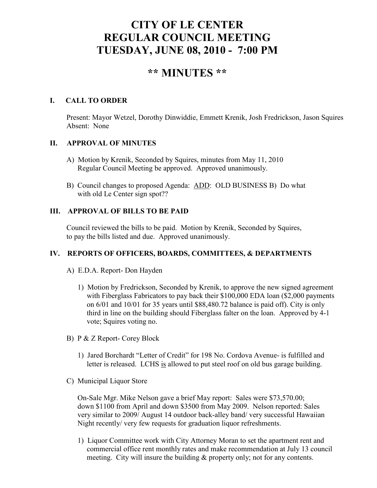# **CITY OF LE CENTER REGULAR COUNCIL MEETING TUESDAY, JUNE 08, 2010 - 7:00 PM**

# **\*\* MINUTES \*\***

### **I. CALL TO ORDER**

Present: Mayor Wetzel, Dorothy Dinwiddie, Emmett Krenik, Josh Fredrickson, Jason Squires Absent: None

#### **II. APPROVAL OF MINUTES**

- A) Motion by Krenik, Seconded by Squires, minutes from May 11, 2010 Regular Council Meeting be approved. Approved unanimously.
- B) Council changes to proposed Agenda: ADD: OLD BUSINESS B) Do what with old Le Center sign spot??

#### **III. APPROVAL OF BILLS TO BE PAID**

Council reviewed the bills to be paid. Motion by Krenik, Seconded by Squires, to pay the bills listed and due. Approved unanimously.

#### **IV. REPORTS OF OFFICERS, BOARDS, COMMITTEES, & DEPARTMENTS**

- A) E.D.A. Report- Don Hayden
	- 1) Motion by Fredrickson, Seconded by Krenik, to approve the new signed agreement with Fiberglass Fabricators to pay back their \$100,000 EDA loan (\$2,000 payments) on 6/01 and 10/01 for 35 years until \$88,480.72 balance is paid off). City is only third in line on the building should Fiberglass falter on the loan. Approved by 4-1 vote; Squires voting no.
- B) P & Z Report- Corey Block
	- 1) Jared Borchardt "Letter of Credit" for 198 No. Cordova Avenue- is fulfilled and letter is released. LCHS is allowed to put steel roof on old bus garage building.
- C) Municipal Liquor Store

On-Sale Mgr. Mike Nelson gave a brief May report: Sales were \$73,570.00; down \$1100 from April and down \$3500 from May 2009. Nelson reported: Sales very similar to 2009/ August 14 outdoor back-alley band/ very successful Hawaiian Night recently/ very few requests for graduation liquor refreshments.

1) Liquor Committee work with City Attorney Moran to set the apartment rent and commercial office rent monthly rates and make recommendation at July 13 council meeting. City will insure the building & property only; not for any contents.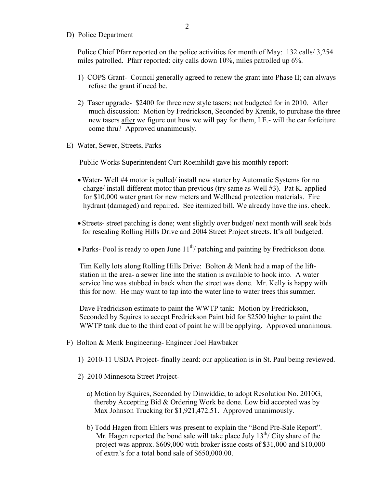D) Police Department

Police Chief Pfarr reported on the police activities for month of May: 132 calls/ 3,254 miles patrolled. Pfarr reported: city calls down 10%, miles patrolled up 6%.

- 1) COPS Grant- Council generally agreed to renew the grant into Phase II; can always refuse the grant if need be.
- 2) Taser upgrade- \$2400 for three new style tasers; not budgeted for in 2010. After much discussion: Motion by Fredrickson, Seconded by Krenik, to purchase the three new tasers after we figure out how we will pay for them, I.E.- will the car forfeiture come thru? Approved unanimously.
- E) Water, Sewer, Streets, Parks

Public Works Superintendent Curt Roemhildt gave his monthly report:

- •Water- Well #4 motor is pulled/ install new starter by Automatic Systems for no charge/ install different motor than previous (try same as Well #3). Pat K. applied for \$10,000 water grant for new meters and Wellhead protection materials. Fire hydrant (damaged) and repaired. See itemized bill. We already have the ins. check.
- Streets- street patching is done; went slightly over budget/ next month will seek bids for resealing Rolling Hills Drive and 2004 Street Project streets. It's all budgeted.
- Parks- Pool is ready to open June  $11^{th}$  patching and painting by Fredrickson done.

 Tim Kelly lots along Rolling Hills Drive: Bolton & Menk had a map of the lift station in the area- a sewer line into the station is available to hook into. A water service line was stubbed in back when the street was done. Mr. Kelly is happy with this for now. He may want to tap into the water line to water trees this summer.

 Dave Fredrickson estimate to paint the WWTP tank: Motion by Fredrickson, Seconded by Squires to accept Fredrickson Paint bid for \$2500 higher to paint the WWTP tank due to the third coat of paint he will be applying. Approved unanimous.

- F) Bolton & Menk Engineering- Engineer Joel Hawbaker
	- 1) 2010-11 USDA Project- finally heard: our application is in St. Paul being reviewed.
	- 2) 2010 Minnesota Street Project
		- a) Motion by Squires, Seconded by Dinwiddie, to adopt Resolution No. 2010G, thereby Accepting Bid & Ordering Work be done. Low bid accepted was by Max Johnson Trucking for \$1,921,472.51. Approved unanimously.
		- b) Todd Hagen from Ehlers was present to explain the "Bond Pre-Sale Report". Mr. Hagen reported the bond sale will take place July  $13^{th}$ / City share of the project was approx. \$609,000 with broker issue costs of \$31,000 and \$10,000 of extra's for a total bond sale of \$650,000.00.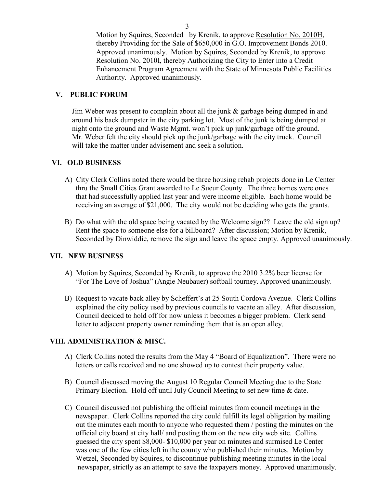Motion by Squires, Seconded by Krenik, to approve Resolution No. 2010H, thereby Providing for the Sale of \$650,000 in G.O. Improvement Bonds 2010. Approved unanimously. Motion by Squires, Seconded by Krenik, to approve Resolution No. 2010I, thereby Authorizing the City to Enter into a Credit Enhancement Program Agreement with the State of Minnesota Public Facilities Authority. Approved unanimously.

#### **V. PUBLIC FORUM**

 Jim Weber was present to complain about all the junk & garbage being dumped in and around his back dumpster in the city parking lot. Most of the junk is being dumped at night onto the ground and Waste Mgmt. won't pick up junk/garbage off the ground. Mr. Weber felt the city should pick up the junk/garbage with the city truck. Council will take the matter under advisement and seek a solution.

#### **VI. OLD BUSINESS**

- A) City Clerk Collins noted there would be three housing rehab projects done in Le Center thru the Small Cities Grant awarded to Le Sueur County. The three homes were ones that had successfully applied last year and were income eligible. Each home would be receiving an average of \$21,000. The city would not be deciding who gets the grants.
- B) Do what with the old space being vacated by the Welcome sign?? Leave the old sign up? Rent the space to someone else for a billboard? After discussion; Motion by Krenik, Seconded by Dinwiddie, remove the sign and leave the space empty. Approved unanimously.

#### **VII. NEW BUSINESS**

- A) Motion by Squires, Seconded by Krenik, to approve the 2010 3.2% beer license for "For The Love of Joshua" (Angie Neubauer) softball tourney. Approved unanimously.
- B) Request to vacate back alley by Scheffert's at 25 South Cordova Avenue. Clerk Collins explained the city policy used by previous councils to vacate an alley. After discussion, Council decided to hold off for now unless it becomes a bigger problem. Clerk send letter to adjacent property owner reminding them that is an open alley.

#### **VIII. ADMINISTRATION & MISC.**

- A) Clerk Collins noted the results from the May 4 "Board of Equalization". There were no letters or calls received and no one showed up to contest their property value.
- B) Council discussed moving the August 10 Regular Council Meeting due to the State Primary Election. Hold off until July Council Meeting to set new time & date.
- C) Council discussed not publishing the official minutes from council meetings in the newspaper. Clerk Collins reported the city could fulfill its legal obligation by mailing out the minutes each month to anyone who requested them / posting the minutes on the official city board at city hall/ and posting them on the new city web site. Collins guessed the city spent \$8,000- \$10,000 per year on minutes and surmised Le Center was one of the few cities left in the county who published their minutes. Motion by Wetzel, Seconded by Squires, to discontinue publishing meeting minutes in the local newspaper, strictly as an attempt to save the taxpayers money. Approved unanimously.